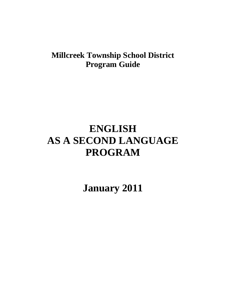## **Millcreek Township School District Program Guide**

# **ENGLISH AS A SECOND LANGUAGE PROGRAM**

**January 2011**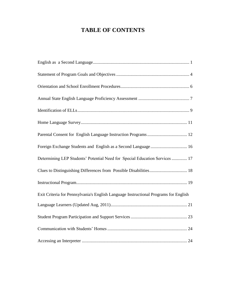### **TABLE OF CONTENTS**

| Foreign Exchange Students and English as a Second Language 16                        |
|--------------------------------------------------------------------------------------|
| Determining LEP Students' Potential Need for Special Education Services  17          |
|                                                                                      |
|                                                                                      |
| Exit Criteria for Pennsylvania's English Language Instructional Programs for English |
|                                                                                      |
|                                                                                      |
|                                                                                      |
|                                                                                      |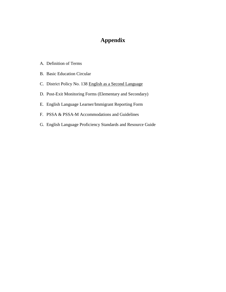### **Appendix**

- A. Definition of Terms
- B. Basic Education Circular
- C. District Policy No. 138 English as a Second Language
- D. Post-Exit Monitoring Forms (Elementary and Secondary)
- E. English Language Learner/Immigrant Reporting Form
- F. PSSA & PSSA-M Accommodations and Guidelines
- G. English Language Proficiency Standards and Resource Guide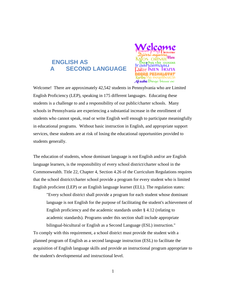### <span id="page-3-0"></span>**ENGLISH AS A SECOND LANGUAGE**



Welcome! There are approximately 42,542 students in Pennsylvania who are Limited English Proficiency (LEP), speaking in 175 different languages. Educating these students is a challenge to and a responsibility of our public/charter schools. Many schools in Pennsylvania are experiencing a substantial increase in the enrollment of students who cannot speak, read or write English well enough to participate meaningfully in educational programs. Without basic instruction in English, and appropriate support services, these students are at risk of losing the educational opportunities provided to students generally.

The education of students, whose dominant language is not English and/or are English language learners, is the responsibility of every school district/charter school in the Commonwealth. Title 22, Chapter 4, Section 4.26 of the Curriculum Regulations requires that the school district/charter school provide a program for every student who is limited English proficient (LEP) or an English language learner (ELL). The regulation states:

"Every school district shall provide a program for each student whose dominant language is not English for the purpose of facilitating the student's achievement of English proficiency and the academic standards under § 4.12 (relating to academic standards). Programs under this section shall include appropriate bilingual-bicultural or English as a Second Language (ESL) instruction."

To comply with this requirement, a school district must provide the student with a planned program of English as a second language instruction (ESL) to facilitate the acquisition of English language skills and provide an instructional program appropriate to the student's developmental and instructional level.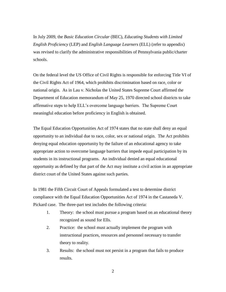In July 2009, the *Basic Education Circular* (BEC), *Educating Students with Limited English Proficiency* (LEP) and *English Language Learners* (ELL) (refer to appendix) was revised to clarify the administrative responsibilities of Pennsylvania public/charter schools.

On the federal level the US Office of Civil Rights is responsible for enforcing Title VI of the Civil Rights Act of 1964, which prohibits discrimination based on race, color or national origin. As in Lau v. Nicholas the United States Supreme Court affirmed the Department of Education memorandum of May 25, 1970 directed school districts to take affirmative steps to help ELL's overcome language barriers. The Supreme Court meaningful education before proficiency in English is obtained.

The Equal Education Opportunities Act of 1974 states that no state shall deny an equal opportunity to an individual due to race, color, sex or national origin. The Act prohibits denying equal education opportunity by the failure of an educational agency to take appropriate action to overcome language barriers that impede equal participation by its students in its instructional programs. An individual denied an equal educational opportunity as defined by that part of the Act may institute a civil action in an appropriate district court of the United States against such parties.

In 1981 the Fifth Circuit Court of Appeals formulated a test to determine district compliance with the Equal Education Opportunities Act of 1974 in the Castaneda V. Pickard case. The three-part test includes the following criteria:

- 1. Theory: the school must pursue a program based on an educational theory recognized as sound for Ells.
- 2. Practice: the school must actually implement the program with instructional practices, resources and personnel necessary to transfer theory to reality.
- 3. Results: the school must not persist in a program that fails to produce results.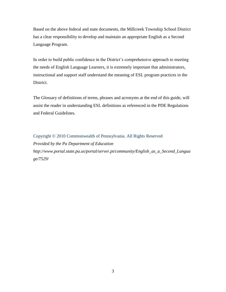Based on the above federal and state documents, the Millcreek Township School District has a clear responsibility to develop and maintain an appropriate English as a Second Language Program.

In order to build public confidence in the District's comprehensive approach to meeting the needs of English Language Learners, it is extremely important that administrators, instructional and support staff understand the meaning of ESL program practices in the District.

The Glossary of definitions of terms, phrases and acronyms at the end of this guide, will assist the reader in understanding ESL definitions as referenced in the PDE Regulations and Federal Guidelines.

Copyright © 2010 Commonwealth of Pennsylvania. All Rights Reserved *Provided by the Pa Department of Education http://www.portal.state.pa.us/portal/server.pt/community/English\_as\_a\_Second\_Langua ge/7529/*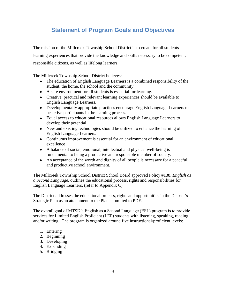### **Statement of Program Goals and Objectives**

<span id="page-6-0"></span>The mission of the Millcreek Township School District is to create for all students learning experiences that provide the knowledge and skills necessary to be competent, responsible citizens, as well as lifelong learners.

The Millcreek Township School District believes:

- The education of English Language Learners is a combined responsibility of the student, the home, the school and the community.
- A safe environment for all students is essential for learning.
- Creative, practical and relevant learning experiences should be available to English Language Learners.
- Developmentally appropriate practices encourage English Language Learners to be active participants in the learning process.
- Equal access to educational resources allows English Language Learners to develop their potential
- New and existing technologies should be utilized to enhance the learning of English Language Learners.
- Continuous improvement is essential for an environment of educational excellence
- A balance of social, emotional, intellectual and physical well-being is fundamental to being a productive and responsible member of society.
- An acceptance of the worth and dignity of all people is necessary for a peaceful and productive school environment.

The Millcreek Township School District School Board approved Policy #138, *English as a Second Language*, outlines the educational process, rights and responsibilities for English Language Learners. (refer to Appendix C)

The District addresses the educational process, rights and opportunities in the District's Strategic Plan as an attachment to the Plan submitted to PDE.

The overall goal of MTSD's English as a Second Language (ESL) program is to provide services for Limited English Proficient (LEP) students with listening, speaking, reading and/or writing. The program is organized around five instructional/proficient levels:

- 1. Entering
- 2. Beginning
- 3. Developing
- 4. Expanding
- 5. Bridging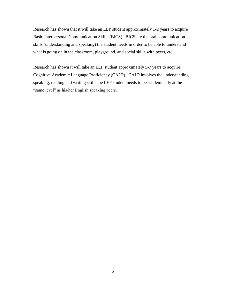Research has shown that it will take an LEP student approximately 1-2 years to acquire Basic Interpersonal Communication Skills (BICS). BICS are the oral communication skills (understanding and speaking) the student needs in order to be able to understand what is going on in the classroom, playground, and social skills with peers, etc.

Research has shown it will take an LEP student approximately 5-7 years to acquire Cognitive Academic Language Proficiency (CALP). CALP involves the understanding, speaking, reading and writing skills the LEP student needs to be academically at the "same level" as his/her English speaking peers.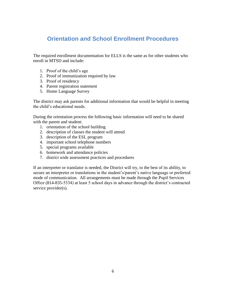### <span id="page-8-0"></span>**Orientation and School Enrollment Procedures**

The required enrollment documentation for ELLS is the same as for other students who enroll in MTSD and include:

- 1. Proof of the child's age
- 2. Proof of immunization required by law
- 3. Proof of residency
- 4. Parent registration statement
- 5. Home Language Survey

The district may ask parents for additional information that would be helpful in meeting the child's educational needs.

During the orientation process the following basic information will need to be shared with the parent and student:

- 1. orientation of the school building
- 2. description of classes the student will attend
- 3. description of the ESL program
- 4. important school telephone numbers
- 5. special programs available
- 6. homework and attendance policies
- 7. district wide assessment practices and procedures

If an interpreter or translator is needed, the District will try, to the best of its ability, to secure an interpreter or translations in the student's/parent's native language or preferred mode of communication. All arrangements must be made through the Pupil Services Office (814-835-5334) at least 5 school days in advance through the district's contracted service provider(s).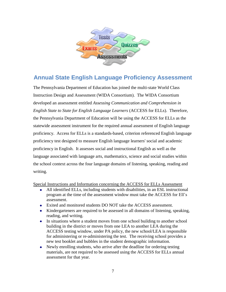

### <span id="page-9-0"></span>**Annual State English Language Proficiency Assessment**

The Pennsylvania Department of Education has joined the multi-state World Class Instruction Design and Assessment (WIDA Consortium). The WIDA Consortium developed an assessment entitled *Assessing Communication and Comprehension in English State to State for English Language Learners* (ACCESS for ELLs). Therefore, the Pennsylvania Department of Education will be using the ACCESS for ELLs as the statewide assessment instrument for the required annual assessment of English language proficiency. Access for ELLs is a standards-based, criterion referenced English language proficiency test designed to measure English language learners' social and academic proficiency in English. It assesses social and instructional English as well as the language associated with language arts, mathematics, science and social studies within the school context across the four language domains of listening, speaking, reading and writing.

Special Instructions and Information concerning the ACCESS for ELLs Assessment

- All identified ELLs, including students with disabilities, in an ESL instructional program at the time of the assessment window must take the ACCESS for Ell's assessment.
- Exited and monitored students DO NOT take the ACCESS assessment.
- Kindergarteners are required to be assessed in all domains of listening, speaking, reading, and writing.
- In situations where a student moves from one school building to another school building in the district or moves from one LEA to another LEA during the ACCESS testing window, under PA policy, the new school/LEA is responsible for administering or re-administering the test. The receiving school provides a new test booklet and bubbles in the student demographic information.
- Newly enrolling students, who arrive after the deadline for ordering testing materials, are not required to be assessed using the ACCESS for ELLs annual assessment for that year.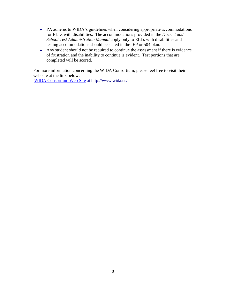- PA adheres to WIDA's guidelines when considering appropriate accommodations for ELLs with disabilities. The accommodations provided in the *District and School Test Administration Manual* apply only to ELLs with disabilities and testing accommodations should be stated in the IEP or 504 plan.
- Any student should not be required to continue the assessment if there is evidence of frustration and the inability to continue is evident. Test portions that are completed will be scored.

For more information concerning the WIDA Consortium, please feel free to visit their web site at the link below:

[WIDA Consortium Web Site](http://www.pde.state.pa.us/pde_internet/redirector.asp?u=http://www.wida.us) at http://www.wida.us/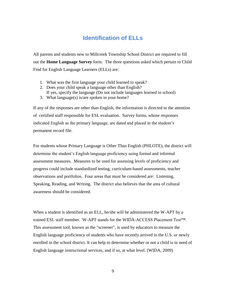### **Identification of ELLs**

<span id="page-11-0"></span>All parents and students new to Millcreek Township School District are required to fill out the **Home Language Survey** form. The three questions asked which pertain to Child Find for English Language Learners (ELLs) are:

- 1. What was the first language your child learned to speak?
- 2. Does your child speak a language other than English? If yes, specify the language (Do not include languages learned in school)
- 3. What language(s) is/are spoken in your home?

If any of the responses are other than English, the information is directed to the attention of certified staff responsible for ESL evaluation. Survey forms, whose responses indicated English as the primary language, are dated and placed in the student's permanent record file.

For students whose Primary Language is Other Than English (PHLOTE), the district will determine the student's English language proficiency using formal and informal assessment measures. Measures to be used for assessing levels of proficiency and progress could include standardized testing, curriculum-based assessments, teacher observations and portfolios. Four areas that must be considered are: Listening, Speaking, Reading, and Writing. The district also believes that the area of cultural awareness should be considered.

When a student is identified as an ELL, he/she will be administered the W-APT by a trained ESL staff member. W-APT stands for the WIDA-ACCESS Placement Test™. This assessment tool, known as the "screener", is used by educators to measure the English language proficiency of students who have recently arrived in the U.S. or newly enrolled in the school district. It can help to determine whether or not a child is in need of English language instructional services, and if so, at what level. (WIDA, 2009)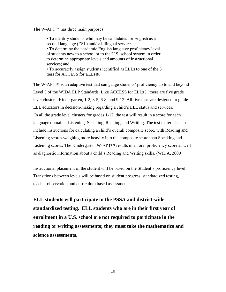The W-APT™ has three main purposes:

• To identify students who may be candidates for English as a second language (ESL) and/or bilingual services; • To determine the academic English language proficiency level of students new to a school or to the U.S. school system in order to determine appropriate levels and amounts of instructional services; and

• To accurately assign students identified as ELLs to one of the 3 tiers for ACCESS for ELLs®.

The W-APT™ is an adaptive test that can gauge students' proficiency up to and beyond Level 5 of the WIDA ELP Standards. Like ACCESS for ELLs®, there are five grade level clusters: Kindergarten, 1-2, 3-5, 6-8, and 9-12. All five tests are designed to guide ELL educators in decision-making regarding a child's ELL status and services. In all the grade level clusters for grades 1-12, the test will result in a score for each language domain—Listening, Speaking, Reading, and Writing. The test materials also include instructions for calculating a child's overall composite score, with Reading and Listening scores weighing more heavily into the composite score than Speaking and Listening scores. The Kindergarten W-APT™ results in an oral proficiency score as well as diagnostic information about a child's Reading and Writing skills. (WIDA, 2009)

Instructional placement of the student will be based on the Student's proficiency level. Transitions between levels will be based on student progress, standardized testing, teacher observation and curriculum based assessment.

**ELL students will participate in the PSSA and district-wide standardized testing. ELL students who are in their first year of enrollment in a U.S. school are not required to participate in the reading or writing assessments; they must take the mathematics and science assessments.**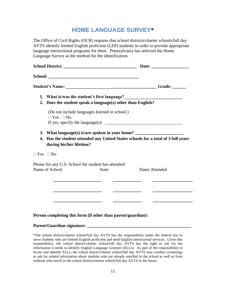### **HOME LANGUAGE SURVEY\***

<span id="page-13-0"></span>The Office of Civil Rights (OCR) requires that school districts/charter schools/full day AVTS identify limited English proficient (LEP) students in order to provide appropriate language instructional programs for them. Pennsylvania has selected the Home Language Survey as the method for the identification.

|  |                                                                     | 2. Does the student speak a language(s) other than English?           | 1. What is/was the student's first language? ___________________________________                                                                                                                                                                                                               |
|--|---------------------------------------------------------------------|-----------------------------------------------------------------------|------------------------------------------------------------------------------------------------------------------------------------------------------------------------------------------------------------------------------------------------------------------------------------------------|
|  | $\Box$ Yes $\Box$ No                                                | (Do not include languages learned in school.)                         | If yes, specify the language(s): $\frac{1}{1}$ = $\frac{1}{1}$ = $\frac{1}{1}$ = $\frac{1}{1}$ = $\frac{1}{1}$ = $\frac{1}{1}$ = $\frac{1}{1}$ = $\frac{1}{1}$ = $\frac{1}{1}$ = $\frac{1}{1}$ = $\frac{1}{1}$ = $\frac{1}{1}$ = $\frac{1}{1}$ = $\frac{1}{1}$ = $\frac{1}{1}$ = $\frac{1}{1}$ |
|  | during his/her lifetime?                                            |                                                                       | 3. What language(s) is/are spoken in your home? ________________________________<br>4. Has the student attended any United States schools for a total of 3 full years                                                                                                                          |
|  | $\Box$ Yes $\Box$ No                                                |                                                                       |                                                                                                                                                                                                                                                                                                |
|  | Name of School                                                      | Please list any U.S. School the student has attended:<br><b>State</b> | Dates Attended                                                                                                                                                                                                                                                                                 |
|  | <u> 1989 - Johann Stein, mars an deus Amerikaansk kommunister (</u> |                                                                       |                                                                                                                                                                                                                                                                                                |
|  |                                                                     |                                                                       |                                                                                                                                                                                                                                                                                                |
|  |                                                                     |                                                                       |                                                                                                                                                                                                                                                                                                |

#### **Person completing this form (if other than parent/guardian):**

#### **Parent/Guardian signature: \_\_\_\_\_\_\_\_\_\_\_\_\_\_\_\_\_\_\_\_\_\_\_\_\_\_\_\_\_\_\_\_\_\_\_\_\_\_\_\_\_\_\_\_\_\_\_**

\*The school district/charter school/full day AVTS has the responsibility under the federal law to serve students who are limited English proficient and need English instructional services. Given this responsibility, the school district/charter school/full day AVTS has the right to ask for the information it needs to identify English Language Learners (ELLs). As part of the responsibility to locate and identify ELLs, the school district/charter school/full day AVTS may conduct screenings or ask for related information about students who are already enrolled in the school as well as from students who enroll in the school district/charter school/full day AVTS in the future.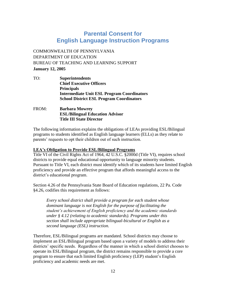### **Parental Consent for English Language Instruction Programs**

<span id="page-14-0"></span>COMMONWEALTH OF PENNSYLVANIA DEPARTMENT OF EDUCATION BUREAU OF TEACHING AND LEARNING SUPPORT **January 12, 2005**

TO: **Superintendents Chief Executive Officers Principals Intermediate Unit ESL Program Coordinators School District ESL Program Coordinators**

#### FROM: **Barbara Mowrey ESL/Bilingual Education Advisor Title III State Director**

The following information explains the obligations of LEAs providing ESL/Bilingual programs to students identified as English language learners (ELLs) as they relate to parents' requests to opt their children out of such instruction.

#### **LEA's Obligation to Provide ESL/Bilingual Programs**

Title VI of the Civil Rights Act of 1964, 42 U.S.C. §2000d (Title VI), requires school districts to provide equal educational opportunity to language minority students. Pursuant to Title VI, each district must identify which of its students have limited English proficiency and provide an effective program that affords meaningful access to the district's educational program.

Section 4.26 of the Pennsylvania State Board of Education regulations, 22 Pa. Code §4.26, codifies this requirement as follows:

*Every school district shall provide a program for each student whose dominant language is not English for the purpose of facilitating the student's achievement of English proficiency and the academic standards under § 4.12 (relating to academic standards). Programs under this section shall include appropriate bilingual-bicultural or English as a second language (ESL) instruction.*

Therefore, ESL/Bilingual programs are mandated. School districts may choose to implement an ESL/Bilingual program based upon a variety of models to address their districts' specific needs. Regardless of the manner in which a school district chooses to operate its ESL/Bilingual program, the district remains responsible to provide a core program to ensure that each limited English proficiency (LEP) student's English proficiency and academic needs are met.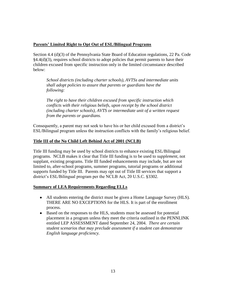#### **Parents' Limited Right to Opt Out of ESL/Bilingual Programs**

Section 4.4 (d)(3) of the Pennsylvania State Board of Education regulations, 22 Pa. Code §4.4(d)(3), requires school districts to adopt policies that permit parents to have their children excused from specific instruction only in the limited circumstance described below:

*School districts (including charter schools), AVTSs and intermediate units shall adopt policies to assure that parents or guardians have the following:* 

*The right to have their children excused from specific instruction which conflicts with their religious beliefs, upon receipt by the school district (including charter schools), AVTS or intermediate unit of a written request from the parents or guardians.* 

Consequently, a parent may not seek to have his or her child excused from a district's ESL/Bilingual program unless the instruction conflicts with the family's religious belief.

#### **Title III of the No Child Left Behind Act of 2001 (NCLB)**

Title III funding may be used by school districts to enhance existing ESL/Bilingual programs. NCLB makes it clear that Title III funding is to be used to *supplement*, not supplant, existing programs. Title III funded enhancements may include, but are not limited to, after-school programs, summer programs, tutorial programs or additional supports funded by Title III. Parents may opt out of Title III services that support a district's ESL/Bilingual program per the NCLB Act, 20 U.S.C. §3302.

#### **Summary of LEA Requirements Regarding ELLs**

- All students entering the district must be given a Home Language Survey (HLS). THERE ARE NO EXCEPTIONS for the HLS. It is part of the enrollment process.
- Based on the responses to the HLS, students must be assessed for potential placement in a program unless they meet the criteria outlined in the PENNLINK entitled LEP ASSESSMENT dated September 24, 2004. *There are certain student scenarios that may preclude assessment if a student can demonstrate English language proficiency.*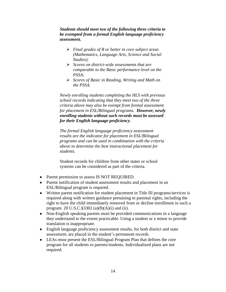*Students should meet two of the following three criteria to be exempted from a formal English language proficiency assessment.*

- *Final grades of B or better in core subject areas (Mathematics, Language Arts, Science and Social Studies);*
- *Scores on district-wide assessments that are comparable to the Basic performance level on the PSSA;*
- *Scores of Basic in Reading, Writing and Math on the PSSA.*

*Newly enrolling students completing the HLS with previous school records indicating that they meet two of the three criteria above may also be exempt from formal assessment for placement in ESL/Bilingual programs. However, newly enrolling students without such records must be assessed for their English language proficiency.*

*The formal English language proficiency assessment results are the indicator for placement in ESL/Bilingual programs and can be used in combination with the criteria above to determine the best instructional placement for students.*

Student records for children from other states or school systems can be considered as part of the criteria.

- Parent permission to assess IS NOT REQUIRED.
- Parent notification of student assessment results and placement in an ESL/Bilingual program is required.
- Written parent notification for student placement in Title III programs/services is required along with written guidance pertaining to parental rights, including the right to have the child immediately removed from or decline enrollment in such a program. 20 U.S.C.§3302 (a)(8)(A)(i) and (ii).
- Non-English speaking parents must be provided communications in a language they understand to the extent practicable. Using a student or a minor to provide translation is inappropriate.
- English language proficiency assessment results, for both district and state assessment, are placed in the student's permanent records.
- LEAs must present the ESL/Bilingual Program Plan that defines the core program for all students to parents/students. Individualized plans are not required.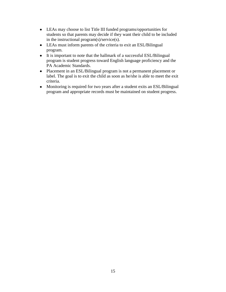- LEAs may choose to list Title III funded programs/opportunities for students so that parents may decide if they want their child to be included in the instructional program(s)/service(s).
- LEAs must inform parents of the criteria to exit an ESL/Bilingual program.
- It is important to note that the hallmark of a successful ESL/Bilingual program is student progress toward English language proficiency and the PA Academic Standards.
- Placement in an ESL/Bilingual program is not a permanent placement or label. The goal is to exit the child as soon as he/she is able to meet the exit criteria.
- Monitoring is required for two years after a student exits an ESL/Bilingual program and appropriate records must be maintained on student progress.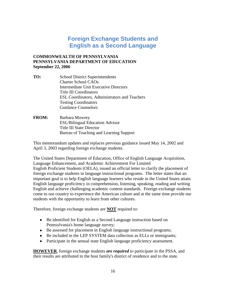### **Foreign Exchange Students and English as a Second Language**

#### <span id="page-18-0"></span>**COMMONWEALTH OF PENNSYLVANIA PENNSYLVANIA DEPARTMENT OF EDUCATION September 22, 2006**

- **TO:** School District Superintendents Charter School CAOs Intermediate Unit Executive Directors Title III Coordinators ESL Coordinators, Administrators and Teachers Testing Coordinators Guidance Counselors
- **FROM:** Barbara Mowrey ESL/Bilingual Education Advisor Title III State Director Bureau of Teaching and Learning Support

This memorandum updates and replaces previous guidance issued May 14, 2002 and April 3, 2003 regarding foreign exchange students.

The United States Department of Education, Office of English Language Acquisition, Language Enhancement, and Academic Achievement For Limited English Proficient Students (OELA), issued an official letter to clarify the placement of foreign exchange students in language instructional programs. The letter states that an important goal is to help English language learners who reside in the United States attain English language proficiency in comprehension, listening, speaking, reading and writing English and achieve challenging academic content standards. Foreign exchange students come to our country to experience the American culture and at the same time provide our students with the opportunity to learn from other cultures.

Therefore, foreign exchange students are **NOT** required to:

- Be identified for English as a Second Language instruction based on Pennsylvania's home language survey;
- Be assessed for placement in English language instructional programs;
- Be included in the LEP SYSTEM data collection as ELLs or immigrants;
- Participate in the annual state English language proficiency assessment.

**HOWEVER**, foreign exchange students *are required* to participate in the PSSA, and their results are attributed to the host family's district of residence and to the state.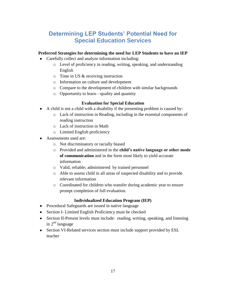### <span id="page-19-0"></span>**Determining LEP Students' Potential Need for Special Education Services**

#### **Preferred Strategies for determining the need for LEP Students to have an IEP**

- Carefully collect and analyze information including:
	- o Level of proficiency in reading, writing, speaking, and understanding English
	- o Time in US & receiving instruction
	- o Information on culture and development
	- o Compare to the development of children with similar backgrounds
	- o Opportunity to learn—quality and quantity

#### **Evaluation for Special Education**

- A child is not a child with a disability if the presenting problem is caused by:
	- o Lack of instruction in Reading, including in the essential components of reading instruction
	- o Lack of instruction in Math
	- o Limited English proficiency
- Assessments used are:
	- o Not discriminatory or racially biased
	- o Provided and administered in the **child's native language or other mode of communication** and in the form most likely to yield accurate information
	- o Valid, reliable; administered by trained personnel
	- o Able to assess child in all areas of suspected disability and to provide relevant information
	- o Coordinated for children who transfer during academic year to ensure prompt completion of full evaluation.

#### **Individualized Education Program (IEP)**

- Procedural Safeguards are issued in native language
- Section I- Limited English Proficiency must be checked
- Section II-Present levels must include: reading, writing, speaking, and listening in  $2<sup>nd</sup>$  language
- Section VI-Related services section must include support provided by ESL teacher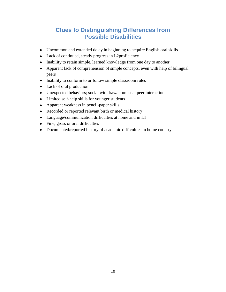### **Clues to Distinguishing Differences from Possible Disabilities**

- <span id="page-20-0"></span>Uncommon and extended delay in beginning to acquire English oral skills
- Lack of continued, steady progress in L2proficiency
- Inability to retain simple, learned knowledge from one day to another
- Apparent lack of comprehension of simple concepts, even with help of bilingual peers
- Inability to conform to or follow simple classroom rules
- Lack of oral production
- Unexpected behaviors; social withdrawal; unusual peer interaction
- Limited self-help skills for younger students
- Apparent weakness in pencil-paper skills
- Recorded or reported relevant birth or medical history
- Language/communication difficulties at home and in L1
- Fine, gross or oral difficulties
- Documented/reported history of academic difficulties in home country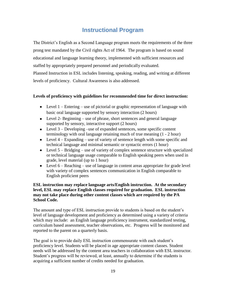### **Instructional Program**

<span id="page-21-0"></span>The District's English as a Second Language program meets the requirements of the three prong test mandated by the Civil rights Act of 1964. The program is based on sound educational and language learning theory, implemented with sufficient resources and staffed by appropriately prepared personnel and periodically evaluated. Planned Instruction in ESL includes listening, speaking, reading, and writing at different levels of proficiency. Cultural Awareness is also addressed.

#### **Levels of proficiency with guidelines for recommended time for direct instruction:**

- Level 1 Entering use of pictorial or graphic representation of language with basic oral language supported by sensory interaction (2 hours)
- Level 2- Beginning use of phrase, short sentences and general language supported by sensory, interactive support (2 hours)
- Level 3 Developing –use of expanded sentences, some specific content terminology with oral language retaining much of true meaning (1 - 2 hour)
- Level  $4 -$  Expanding use of variety of sentence length with some specific and technical language and minimal semantic or syntactic errors (1 hour)
- Evel  $5 Bridging use of variety of complex sentence structure with specialized$ or technical language usage comparable to English speaking peers when used in grade, level material (up to 1 hour)
- Level 6 Reaching use of language in content areas appropriate for grade level with variety of complex sentences communication in English comparable to English proficient peers

#### **ESL instruction may replace language arts/English instruction. At the secondary level, ESL may replace English classes required for graduation. ESL instruction may not take place during other content classes which are required by the PA School Code.**

The amount and type of ESL instruction provide to students is based on the student's level of language development and proficiency as determined using a variety of criteria which may include: an English language proficiency instrument, standardized testing, curriculum based assessment, teacher observations, etc. Progress will be monitored and reported to the parent on a quarterly basis.

The goal is to provide daily ESL instruction commensurate with each student's proficiency level. Students will be placed in age appropriate content classes. Student needs will be addressed by the content area teachers in collaboration with ESL instructor. Student's progress will be reviewed, at least, annually to determine if the students is acquiring a sufficient number of credits needed for graduation.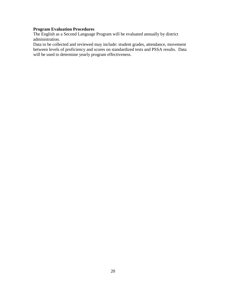#### **Program Evaluation Procedures**

The English as a Second Language Program will be evaluated annually by district administration.

Data to be collected and reviewed may include: student grades, attendance, movement between levels of proficiency and scores on standardized tests and PSSA results. Data will be used to determine yearly program effectiveness.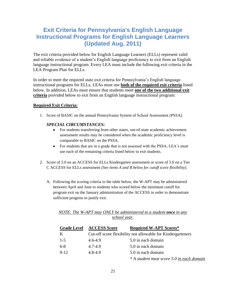### <span id="page-23-0"></span>**Exit Criteria for Pennsylvania's English Language Instructional Programs for English Language Learners (Updated Aug, 2011)**

The exit criteria provided below for English Language Learners (ELLs) represent valid and reliable evidence of a student's English language proficiency to exit from an English language instructional program. Every LEA must include the following exit criteria in the LEA Program Plan for ELLs.

In order to meet the required state exit criteria for Pennsylvania's English language instructional programs for ELLs, LEAs must use **both of the required exit criteria** listed below. In addition, LEAs must ensure that students meet **one of the two additional exit criteria** provided below to exit from an English language instructional program:

#### **Required Exit Criteria:**

1. Score of BASIC on the annual Pennsylvania System of School Assessment (PSSA).

#### *SPECIAL CIRCUMSTANCES:*

- $\bullet$ For students transferring from other states, out-of-state academic achievement assessment results may be considered when the academic proficiency level is comparable to BASIC on the PSSA.
- For students that are in a grade that is not assessed with the PSSA, LEA's must use each of the remaining criteria listed below to exit students.
- 2. Score of 5.0 on an ACCESS for ELLs Kindergarten assessment or score of 5.0 on a Tier C ACCESS for ELLs assessment *(See items A and B below for cutoff score flexibility)*.
	- A. Following the scoring criteria in the table below, the W-APT may be administered between April and June to students who scored below the minimum cutoff for program exit on the January administration of the ACCESS in order to demonstrate sufficient progress to justify exit.

|              |  | NOTE: The W-APT may ONLY be administered to a student <b>once</b> in any |  |  |  |
|--------------|--|--------------------------------------------------------------------------|--|--|--|
| school year. |  |                                                                          |  |  |  |

| <b>Grade Level</b> | <b>ACCESS Score</b>                                         | <b>Required W-APT Scores*</b>             |  |
|--------------------|-------------------------------------------------------------|-------------------------------------------|--|
| K                  | Cut-off score flexibility not allowable for Kindergarteners |                                           |  |
| $1 - 5$            | $4.6 - 4.9$                                                 | 5.0 in each domain                        |  |
| $6 - 8$            | 4.7-4.9                                                     | 5.0 in each domain                        |  |
| $9 - 12$           | $4,8-4,9$                                                   | 5.0 in each domain                        |  |
|                    |                                                             | * A student must score 5.0 in each domain |  |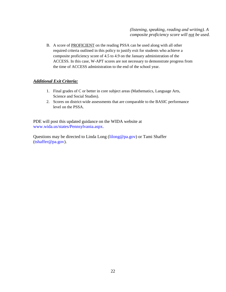*(listening, speaking, reading and writing). A composite proficiency score will not be used.*

B. A score of PROFICIENT on the reading PSSA can be used along with all other required criteria outlined in this policy to justify exit for students who achieve a composite proficiency score of 4.5 to 4.9 on the January administration of the ACCESS. In this case, W-APT scores are not necessary to demonstrate progress from the time of ACCESS administration to the end of the school year.

#### *Additional Exit Criteria:*

- 1. Final grades of C or better in core subject areas (Mathematics, Language Arts, Science and Social Studies).
- 2. Scores on district-wide assessments that are comparable to the BASIC performance level on the PSSA.

PDE will post this updated guidance on the WIDA website at www.wida.us/states/Pennsylvania.aspx.

Questions may be directed to Linda Long (lilong@pa.gov) or Tami Shaffer (tshaffer@pa.gov).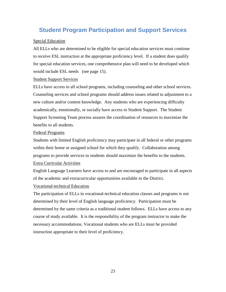### <span id="page-25-0"></span>**Student Program Participation and Support Services**

#### Special Education

All ELLs who are determined to be eligible for special education services must continue to receive ESL instruction at the appropriate proficiency level. If a student does qualify for special education services, one comprehensive plan will need to be developed which would include ESL needs (see page 15).

#### Student Support Services

ELLs have access to all school programs, including counseling and other school services. Counseling services and school programs should address issues related to adjustment to a new culture and/or content knowledge. Any students who are experiencing difficulty academically, emotionally, or socially have access to Student Support. The Student Support Screening Team process assures the coordination of resources to maximize the benefits to all students.

#### Federal Programs

Students with limited English proficiency may participate in all federal or other programs within their home or assigned school for which they qualify. Collaboration among programs to provide services to students should maximize the benefits to the students. Extra Curricular Activities

English Language Learners have access to and are encouraged to participate in all aspects of the academic and extracurricular opportunities available in the District.

#### Vocational-technical Education

The participation of ELLs in vocational-technical education classes and programs is not determined by their level of English language proficiency. Participation must be determined by the same criteria as a traditional student follows. ELLs have access to any course of study available. It is the responsibility of the program instructor to make the necessary accommodations. Vocational students who are ELLs must be provided instruction appropriate to their level of proficiency.